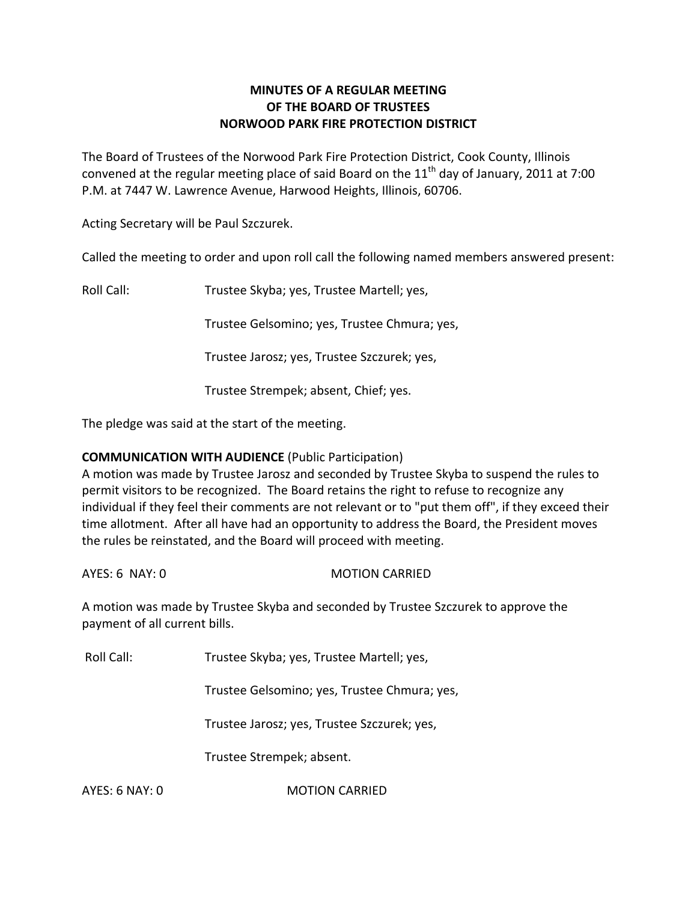# **MINUTES OF A REGULAR MEETING OF THE BOARD OF TRUSTEES NORWOOD PARK FIRE PROTECTION DISTRICT**

The Board of Trustees of the Norwood Park Fire Protection District, Cook County, Illinois convened at the regular meeting place of said Board on the  $11<sup>th</sup>$  day of January, 2011 at 7:00 P.M. at 7447 W. Lawrence Avenue, Harwood Heights, Illinois, 60706.

Acting Secretary will be Paul Szczurek.

Called the meeting to order and upon roll call the following named members answered present:

Roll Call: Trustee Skyba; yes, Trustee Martell; yes,

Trustee Gelsomino; yes, Trustee Chmura; yes,

Trustee Jarosz; yes, Trustee Szczurek; yes,

Trustee Strempek; absent, Chief; yes.

The pledge was said at the start of the meeting.

# **COMMUNICATION WITH AUDIENCE** (Public Participation)

A motion was made by Trustee Jarosz and seconded by Trustee Skyba to suspend the rules to permit visitors to be recognized. The Board retains the right to refuse to recognize any individual if they feel their comments are not relevant or to "put them off", if they exceed their time allotment. After all have had an opportunity to address the Board, the President moves the rules be reinstated, and the Board will proceed with meeting.

AYES: 6 NAY: 0 MOTION CARRIED

A motion was made by Trustee Skyba and seconded by Trustee Szczurek to approve the payment of all current bills.

Roll Call: Trustee Skyba; yes, Trustee Martell; yes,

Trustee Gelsomino; yes, Trustee Chmura; yes,

Trustee Jarosz; yes, Trustee Szczurek; yes,

Trustee Strempek; absent.

AYES: 6 NAY: 0 **MOTION CARRIED**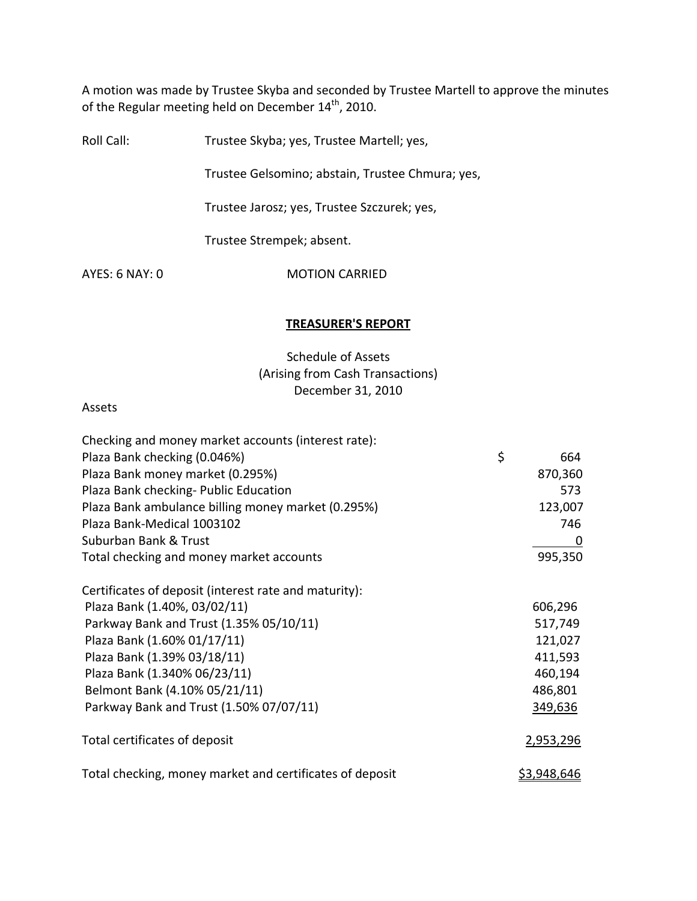A motion was made by Trustee Skyba and seconded by Trustee Martell to approve the minutes of the Regular meeting held on December 14<sup>th</sup>, 2010.

Roll Call: Trustee Skyba; yes, Trustee Martell; yes,

Trustee Gelsomino; abstain, Trustee Chmura; yes,

Trustee Jarosz; yes, Trustee Szczurek; yes,

Trustee Strempek; absent.

AYES: 6 NAY: 0 MOTION CARRIED

#### **TREASURER'S REPORT**

Schedule of Assets (Arising from Cash Transactions) December 31, 2010

#### Assets

| Checking and money market accounts (interest rate):      |                    |  |
|----------------------------------------------------------|--------------------|--|
| Plaza Bank checking (0.046%)                             | \$<br>664          |  |
| Plaza Bank money market (0.295%)                         | 870,360            |  |
| Plaza Bank checking- Public Education                    | 573                |  |
| Plaza Bank ambulance billing money market (0.295%)       | 123,007            |  |
| Plaza Bank-Medical 1003102                               | 746                |  |
| Suburban Bank & Trust                                    | 0                  |  |
| Total checking and money market accounts                 | 995,350            |  |
| Certificates of deposit (interest rate and maturity):    |                    |  |
| Plaza Bank (1.40%, 03/02/11)                             | 606,296            |  |
| Parkway Bank and Trust (1.35% 05/10/11)                  | 517,749            |  |
| Plaza Bank (1.60% 01/17/11)                              | 121,027            |  |
| Plaza Bank (1.39% 03/18/11)                              | 411,593            |  |
| Plaza Bank (1.340% 06/23/11)                             | 460,194            |  |
| Belmont Bank (4.10% 05/21/11)                            | 486,801            |  |
| Parkway Bank and Trust (1.50% 07/07/11)                  | 349,636            |  |
| Total certificates of deposit                            | 2,953,296          |  |
| Total checking, money market and certificates of deposit | <u>\$3,948,646</u> |  |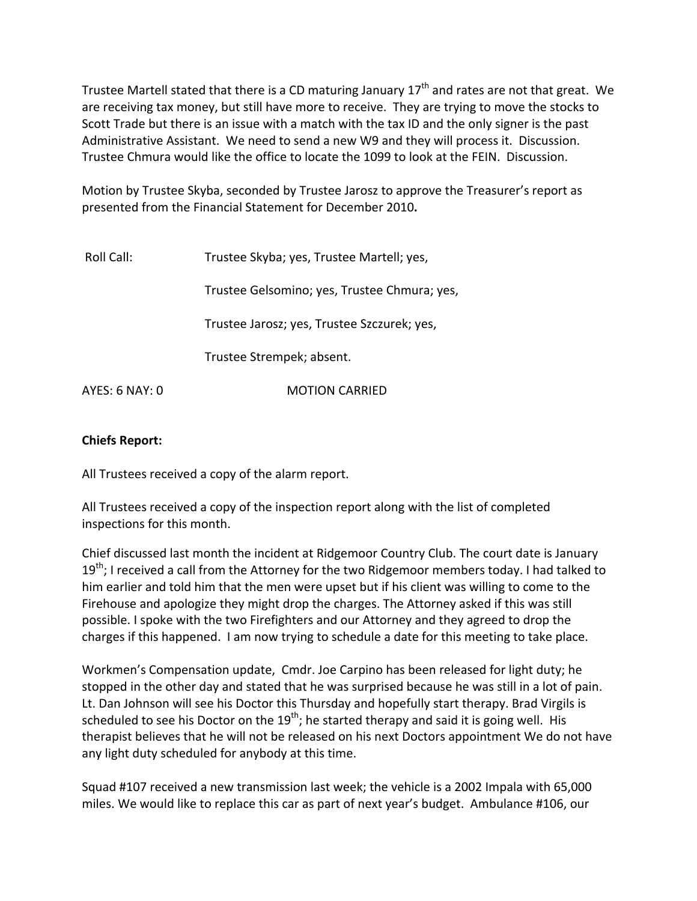Trustee Martell stated that there is a CD maturing January  $17<sup>th</sup>$  and rates are not that great. We are receiving tax money, but still have more to receive. They are trying to move the stocks to Scott Trade but there is an issue with a match with the tax ID and the only signer is the past Administrative Assistant. We need to send a new W9 and they will process it. Discussion. Trustee Chmura would like the office to locate the 1099 to look at the FEIN. Discussion.

Motion by Trustee Skyba, seconded by Trustee Jarosz to approve the Treasurer's report as presented from the Financial Statement for December 2010**.**

| Roll Call:     | Trustee Skyba; yes, Trustee Martell; yes,    |  |  |
|----------------|----------------------------------------------|--|--|
|                | Trustee Gelsomino; yes, Trustee Chmura; yes, |  |  |
|                | Trustee Jarosz; yes, Trustee Szczurek; yes,  |  |  |
|                | Trustee Strempek; absent.                    |  |  |
| AYES: 6 NAY: 0 | <b>MOTION CARRIED</b>                        |  |  |

# **Chiefs Report:**

All Trustees received a copy of the alarm report.

All Trustees received a copy of the inspection report along with the list of completed inspections for this month.

Chief discussed last month the incident at Ridgemoor Country Club. The court date is January 19<sup>th</sup>; I received a call from the Attorney for the two Ridgemoor members today. I had talked to him earlier and told him that the men were upset but if his client was willing to come to the Firehouse and apologize they might drop the charges. The Attorney asked if this was still possible. I spoke with the two Firefighters and our Attorney and they agreed to drop the charges if this happened. I am now trying to schedule a date for this meeting to take place.

Workmen's Compensation update, Cmdr. Joe Carpino has been released for light duty; he stopped in the other day and stated that he was surprised because he was still in a lot of pain. Lt. Dan Johnson will see his Doctor this Thursday and hopefully start therapy. Brad Virgils is scheduled to see his Doctor on the 19<sup>th</sup>; he started therapy and said it is going well. His therapist believes that he will not be released on his next Doctors appointment We do not have any light duty scheduled for anybody at this time.

Squad #107 received a new transmission last week; the vehicle is a 2002 Impala with 65,000 miles. We would like to replace this car as part of next year's budget. Ambulance #106, our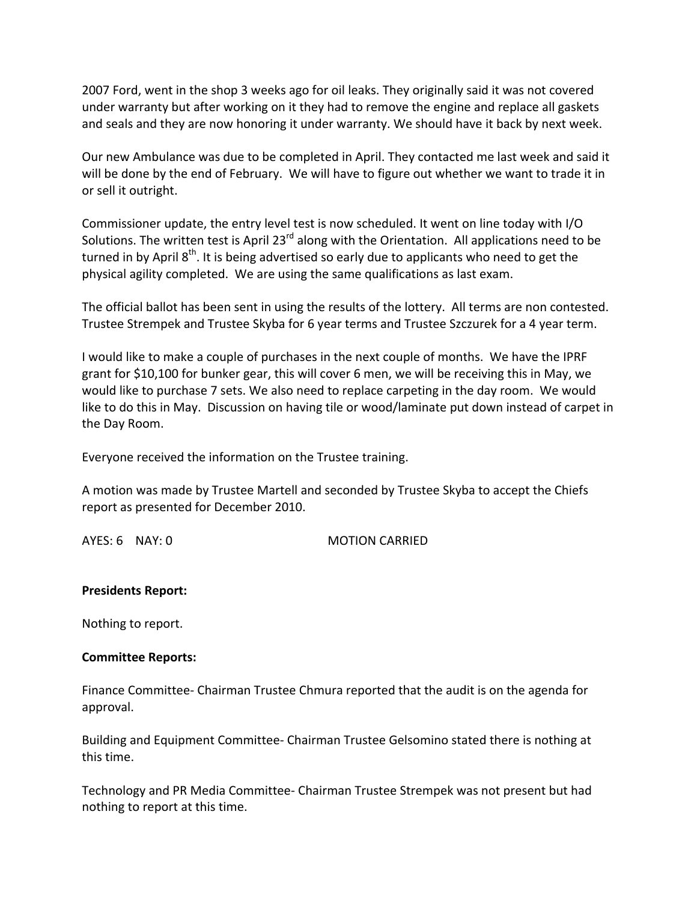2007 Ford, went in the shop 3 weeks ago for oil leaks. They originally said it was not covered under warranty but after working on it they had to remove the engine and replace all gaskets and seals and they are now honoring it under warranty. We should have it back by next week.

Our new Ambulance was due to be completed in April. They contacted me last week and said it will be done by the end of February. We will have to figure out whether we want to trade it in or sell it outright.

Commissioner update, the entry level test is now scheduled. It went on line today with I/O Solutions. The written test is April 23 $^{rd}$  along with the Orientation. All applications need to be turned in by April 8<sup>th</sup>. It is being advertised so early due to applicants who need to get the physical agility completed. We are using the same qualifications as last exam.

The official ballot has been sent in using the results of the lottery. All terms are non contested. Trustee Strempek and Trustee Skyba for 6 year terms and Trustee Szczurek for a 4 year term.

I would like to make a couple of purchases in the next couple of months. We have the IPRF grant for \$10,100 for bunker gear, this will cover 6 men, we will be receiving this in May, we would like to purchase 7 sets. We also need to replace carpeting in the day room. We would like to do this in May. Discussion on having tile or wood/laminate put down instead of carpet in the Day Room.

Everyone received the information on the Trustee training.

A motion was made by Trustee Martell and seconded by Trustee Skyba to accept the Chiefs report as presented for December 2010.

AYES: 6 NAY: 0 MOTION CARRIED

### **Presidents Report:**

Nothing to report.

### **Committee Reports:**

Finance Committee‐ Chairman Trustee Chmura reported that the audit is on the agenda for approval.

Building and Equipment Committee‐ Chairman Trustee Gelsomino stated there is nothing at this time.

Technology and PR Media Committee‐ Chairman Trustee Strempek was not present but had nothing to report at this time.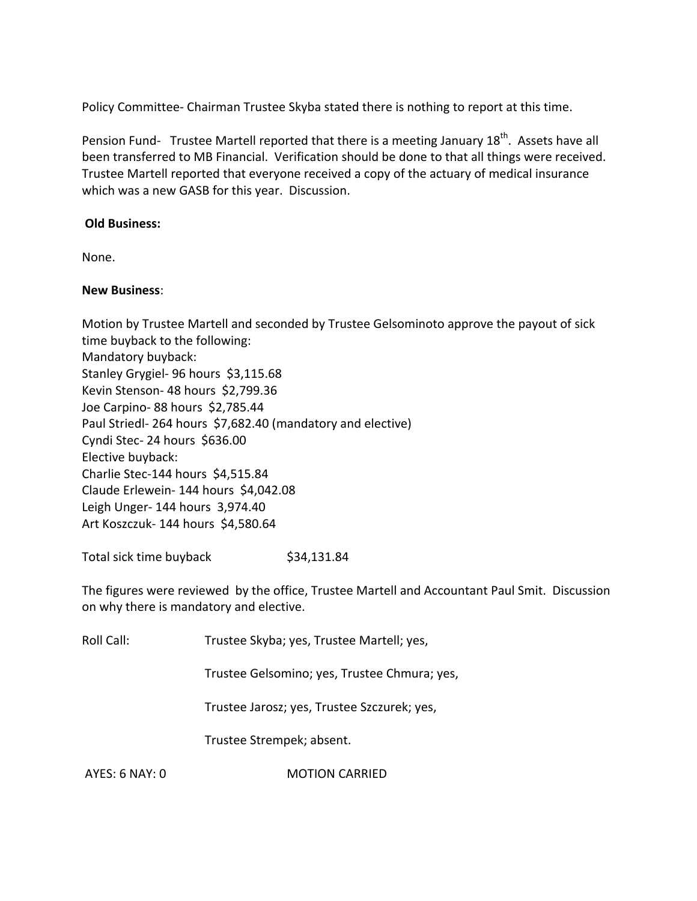Policy Committee‐ Chairman Trustee Skyba stated there is nothing to report at this time.

Pension Fund- Trustee Martell reported that there is a meeting January 18<sup>th</sup>. Assets have all been transferred to MB Financial. Verification should be done to that all things were received. Trustee Martell reported that everyone received a copy of the actuary of medical insurance which was a new GASB for this year. Discussion.

### **Old Business:**

None.

### **New Business**:

Motion by Trustee Martell and seconded by Trustee Gelsominoto approve the payout of sick time buyback to the following: Mandatory buyback: Stanley Grygiel- 96 hours \$3,115.68 Kevin Stenson- 48 hours \$2,799.36 Joe Carpino‐ 88 hours \$2,785.44 Paul Striedl-264 hours \$7,682.40 (mandatory and elective) Cyndi Stec- 24 hours \$636.00 Elective buyback: Charlie Stec‐144 hours \$4,515.84 Claude Erlewein‐ 144 hours \$4,042.08 Leigh Unger‐ 144 hours 3,974.40 Art Koszczuk‐ 144 hours \$4,580.64

Total sick time buyback \$34,131.84

The figures were reviewed by the office, Trustee Martell and Accountant Paul Smit. Discussion on why there is mandatory and elective.

Roll Call: Trustee Skyba; yes, Trustee Martell; yes,

Trustee Gelsomino; yes, Trustee Chmura; yes,

Trustee Jarosz; yes, Trustee Szczurek; yes,

Trustee Strempek; absent.

AYES: 6 NAY: 0 MOTION CARRIED